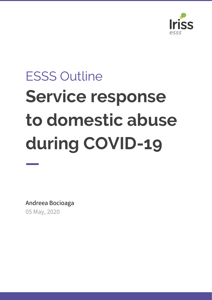

# ESSS Outline **Service response to domestic abuse during COVID-19**

Andreea Bocioaga 05 May, 2020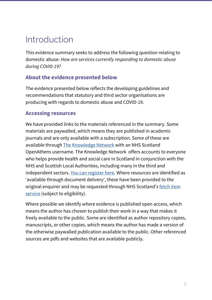# Introduction

This evidence summary seeks to address the following question relating to domestic abuse: *How are services currently responding to domestic abuse during COVID-19?*

#### **About the evidence presented below**

The evidence presented below reflects the developing guidelines and recommendations that statutory and third sector organisations are producing with regards to domestic abuse and COVID-19.

#### **Accessing resources**

We have provided links to the materials referenced in the summary. Some materials are paywalled, which means they are published in academic journals and are only available with a subscription. Some of these are available through The [Knowledge](http://www.knowledge.scot.nhs.uk/home/register-or-sign-in.aspx) Network with an NHS Scotland OpenAthens username. The Knowledge Network offers accounts to everyone who helps provide health and social care in Scotland in conjunction with the NHS and Scottish Local Authorities, including many in the third and independent sectors. You can [register](https://www.athensregistration.scot.nhs.uk/) here. Where resources are identified as 'available through document delivery', these have been provided to the original enquirer and may be requested through NHS Scotland's [fetch](https://nhs-scot-primo.hosted.exlibrisgroup.com/primo-explore/citationlinker?vid=44NHSS_SSKS) item [service](https://nhs-scot-primo.hosted.exlibrisgroup.com/primo-explore/citationlinker?vid=44NHSS_SSKS) (subject to eligibility).

Where possible we identify where evidence is published open access, which means the author has chosen to publish their work in a way that makes it freely available to the public. Some are identified as author repository copies, manuscripts, or other copies, which means the author has made a version of the otherwise paywalled publication available to the public. Other referenced sources are pdfs and websites that are available publicly.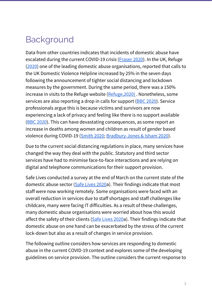# Background

Data from other countries indicates that incidents of domestic abuse have escalated during the current COVID-19 crisis ([Fraser](http://www.sddirect.org.uk/media/1881/vawg-helpdesk-284-covid-19-and-vawg.pdf) 2020). In the UK, Refuge ([2020](https://www.refuge.org.uk/25-increase-in-calls-to-national-domestic-abuse-helpline-since-lockdown-measures-began/)) one of the leading domestic abuse organisations, reported that calls to the UK Domestic Violence Helpline increased by 25% in the seven days following the announcement of tighter social distancing and lockdown measures by the government. During the same period, there was a 150% increase in visits to the Refuge website (Refuge, 2020). Nonetheless, some services are also reporting a drop in calls for support (BBC [2020\)](https://www.bbc.co.uk/news/uk-england-tees-52119770). Service professionals argue this is because victims and survivors are now experiencing a lack of privacy and feeling like there is no support available (BBC [2020](https://www.bbc.co.uk/news/uk-england-tees-52119770)). This can have devastating consequences, as some report an increase in deaths among women and children as result of gender based violence during COVID-19 [\(Smith](https://kareningalasmith.com/2020/04/15/coronavirus-doesnt-cause-mens-violence-against-women/) 2020; [Bradbury-Jones](https://onlinelibrary.wiley.com/doi/epdf/10.1111/jocn.15296) & Isham 2020).

Due to the current social distancing regulations in place, many services have changed the way they deal with the public. Statutory and third sector services have had to minimise face-to-face interactions and are relying on digital and telephone communications for their support provision.

Safe Lives conducted a survey at the end of March on the current state of the domestic abuse sector (Safe [Lives](https://safelives.org.uk/sites/default/files/resources/SafeLives%20survey%20of%20frontline%20domestic%20abuse%20organisations%20for%20COVID-19%2030.03.20_0.pdf) 2020a). Their findings indicate that most staff were now working remotely. Some organisations were faced with an overall reduction in services due to staff shortages and staff challenges like childcare, many were facing IT difficulties. As a result of these challenges, many domestic abuse organisations were worried about how this would affect the safety of their clients (Safe [Lives](https://safelives.org.uk/sites/default/files/resources/SafeLives%20survey%20of%20frontline%20domestic%20abuse%20organisations%20for%20COVID-19%2030.03.20_0.pdf) 2020a). Their findings indicate that domestic abuse on one hand can be exacerbated by the stress of the current lock-down but also as a result of changes in service provision.

The following outline considers how services are responding to domestic abuse in the current COVID-19 context and explores some of the developing guidelines on service provision. The outline considers the current response to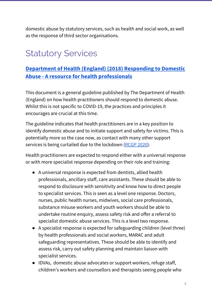domestic abuse by statutory services, such as health and social work, as well as the response of third sector organisations.

# Statutory Services

## **[Department](https://assets.publishing.service.gov.uk/government/uploads/system/uploads/attachment_data/file/597435/DometicAbuseGuidance.pdf) of Health (England) (2018) Responding to Domestic Abuse - A resource for health [professionals](https://assets.publishing.service.gov.uk/government/uploads/system/uploads/attachment_data/file/597435/DometicAbuseGuidance.pdf)**

This document is a general guideline published by The Department of Health (England) on how health practitioners should respond to domestic abuse. Whilst this is not specific to COVID-19, the practices and principles it encourages are crucial at this time.

The guideline indicates that health practitioners are in a key position to identify domestic abuse and to initiate support and safety for victims. This is potentially more so the case now, as contact with many other support services is being curtailed due to the lockdown [\(RCGP](https://elearning.rcgp.org.uk/pluginfile.php/149180/mod_resource/content/2/COVID-19%20and%20Safeguarding%20%286%29.pdf) 2020).

Health practitioners are expected to respond either with a universal response or with more specialist response depending on their role and training:

- A universal response is expected from dentists, allied health professionals, ancillary staff, care assistants. These should be able to respond to disclosure with sensitivity and know how to direct people to specialist services. This is seen as a level one response. Doctors, nurses, public health nurses, midwives, social care professionals, substance misuse workers and youth workers should be able to undertake routine enquiry, assess safety risk and offer a referral to specialist domestic abuse services. This is a level two response.
- A specialist response is expected for safeguarding children (level three) by health professionals and social workers, MARAC and adult safeguarding representatives. These should be able to identify and assess risk, carry out safety planning and maintain liaison with specialist services.
- IDVAs, domestic abuse advocates or support workers, refuge staff, children's workers and counsellors and therapists seeing people who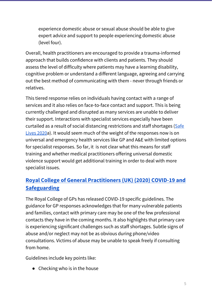experience domestic abuse or sexual abuse should be able to give expert advice and support to people experiencing domestic abuse (level four).

Overall, health practitioners are encouraged to provide a trauma-informed approach that builds confidence with clients and patients. They should assess the level of difficulty where patients may have a learning disability, cognitive problem or understand a different language, agreeing and carrying out the best method of communicating with them - never through friends or relatives.

This tiered response relies on individuals having contact with a range of services and it also relies on face-to-face contact and support. This is being currently challenged and disrupted as many services are unable to deliver their support. Interactions with specialist services especially have been curtailed as a result of social distancing restrictions and staff shortages [\(Safe](https://safelives.org.uk/sites/default/files/resources/SafeLives%20survey%20of%20frontline%20domestic%20abuse%20organisations%20for%20COVID-19%2030.03.20_0.pdf) [Lives](https://safelives.org.uk/sites/default/files/resources/SafeLives%20survey%20of%20frontline%20domestic%20abuse%20organisations%20for%20COVID-19%2030.03.20_0.pdf) 2020a). It would seem much of the weight of the responses now is on universal and emergency health services like GP and A&E with limited options for specialist responses. So far, it is not clear what this means for staff training and whether medical practitioners offering universal domestic violence support would get additional training in order to deal with more specialist issues.

### **Royal College of General [Practitioners](https://elearning.rcgp.org.uk/pluginfile.php/149180/mod_resource/content/2/COVID-19%20and%20Safeguarding%20%286%29.pdf) (UK) (2020) COVID-19 and [Safeguarding](https://elearning.rcgp.org.uk/pluginfile.php/149180/mod_resource/content/2/COVID-19%20and%20Safeguarding%20%286%29.pdf)**

The Royal College of GPs has released COVID-19 specific guidelines. The guidance for GP responses acknowledges that for many vulnerable patients and families, contact with primary care may be one of the few professional contacts they have in the coming months. It also highlights that primary care is experiencing significant challenges such as staff shortages. Subtle signs of abuse and/or neglect may not be as obvious during phone/video consultations. Victims of abuse may be unable to speak freely if consulting from home.

Guidelines include key points like:

● Checking who is in the house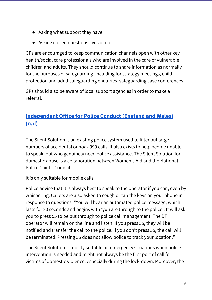- Asking what support they have
- Asking closed questions yes or no

GPs are encouraged to keep communication channels open with other key health/social care professionals who are involved in the care of vulnerable children and adults. They should continue to share information as normally for the purposes of safeguarding, including for strategy meetings, child protection and adult safeguarding enquiries, safeguarding case conferences.

GPs should also be aware of local support agencies in order to make a referral.

## **[Independent](https://www.policeconduct.gov.uk/sites/default/files/Documents/research-learning/Silent_solution_guide.pdf) Office for Police Conduct (England and Wales) [\(n.d\)](https://www.policeconduct.gov.uk/sites/default/files/Documents/research-learning/Silent_solution_guide.pdf)**

The Silent Solution is an existing police system used to filter out large numbers of accidental or hoax 999 calls. It also exists to help people unable to speak, but who genuinely need police assistance. The Silent Solution for domestic abuse is a collaboration between Women's Aid and the National Police Chief's Council.

It is only suitable for mobile calls.

Police advise that it is always best to speak to the operator if you can, even by whispering. Callers are also asked to cough or tap the keys on your phone in response to questions: "You will hear an automated police message, which lasts for 20 seconds and begins with 'you are through to the police'. It will ask you to press 55 to be put through to police call management. The BT operator will remain on the line and listen. If you press 55, they will be notified and transfer the call to the police. If you don't press 55, the call will be terminated. Pressing 55 does not allow police to track your location."

The Silent Solution is mostly suitable for emergency situations when police intervention is needed and might not always be the first port of call for victims of domestic violence, especially during the lock-down. Moreover, the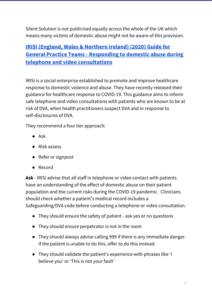Silent Solution is not publicised equally across the whole of the UK which means many victims of domestic abuse might not be aware of this provision.

# **IRISi [\(England,](https://irisi.org/wp-content/uploads/2020/04/Guidance-for-General-Practice-Covid-19-FINAL.pdf) Wales & Northern Ireland) (2020) Guide for General Practice Teams - [Responding](https://irisi.org/wp-content/uploads/2020/04/Guidance-for-General-Practice-Covid-19-FINAL.pdf) to domestic abuse during telephone and video [consultations](https://irisi.org/wp-content/uploads/2020/04/Guidance-for-General-Practice-Covid-19-FINAL.pdf)**

IRISi is a social enterprise established to promote and improve healthcare response to domestic violence and abuse. They have recently released their guidance for healthcare response to COVID-19. This guidance aims to inform safe telephone and video consultations with patients who are known to be at risk of DVA, when health practitioners suspect DVA and in response to self-disclosures of DVA.

They recommend a four tier approach:

- Ask
- Risk assess
- Refer or signpost
- Record

**Ask** - IRISi advise that all staff in telephone or video contact with patients have an understanding of the effect of domestic abuse on their patient population and the current risks during the COVID-19 pandemic. Clinicians should check whether a patient's medical record includes a Safeguarding/DVA code before conducting a telephone or video consultation.

- They should ensure the safety of patient ask yes or no questions
- They should ensure perpetrator is not in the room
- They should always advise calling 999 if there is any immediate danger. If the patient is unable to do this, offer to do this instead.
- They should validate the patient's experience with phrases like 'I believe you' or 'This is not your fault'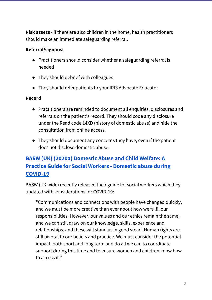**Risk assess -** if there are also children in the home, health practitioners should make an immediate safeguarding referral.

#### **Referral/signpost**

- Practitioners should consider whether a safeguarding referral is needed
- They should debrief with colleagues
- They should refer patients to your IRIS Advocate Educator

#### **Record**

- Practitioners are reminded to document all enquiries, disclosures and referrals on the patient's record. They should code any disclosure under the Read code 14XD (history of domestic abuse) and hide the consultation from online access.
- They should document any concerns they have, even if the patient does not disclose domestic abuse.

## **BASW (UK) (2020a) [Domestic](https://www.basw.co.uk/media/news/2020/apr/domestic-abuse-and-child-welfare-practice-guide-social-workers) Abuse and Child Welfare: A Practice Guide for Social Workers - [Domestic](https://www.basw.co.uk/media/news/2020/apr/domestic-abuse-and-child-welfare-practice-guide-social-workers) abuse during [COVID-19](https://www.basw.co.uk/media/news/2020/apr/domestic-abuse-and-child-welfare-practice-guide-social-workers)**

BASW (UK wide) recently released their guide for social workers which they updated with considerations for COVID-19:

"Communications and connections with people have changed quickly, and we must be more creative than ever about how we fulfil our responsibilities. However, our values and our ethics remain the same, and we can still draw on our knowledge, skills, experience and relationships, and these will stand us in good stead. Human rights are still pivotal to our beliefs and practice. We must consider the potential impact, both short and long term and do all we can to coordinate support during this time and to ensure women and children know how to access it."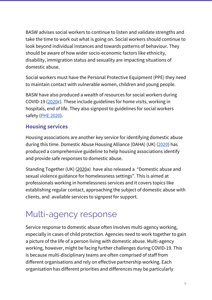BASW advises social workers to continue to listen and validate strengths and take the time to work out what is going on. Social workers should continue to look beyond individual instances and towards patterns of behaviour. They should be aware of how wider socio-economic factors like ethnicity, disability, immigration status and sexuality are impacting situations of domestic abuse.

Social workers must have the Personal Protective Equipment (PPE) they need to maintain contact with vulnerable women, children and young people.

BASW have also produced a wealth of resources for social workers during COVID-19 [\(2020](https://www.basw.co.uk/coronavirus-updates/social-work-resources-during-coronavirus)c). These include guidelines for home visits, working in hospitals, end of life. They also signpost to guidelines for social workers safety (PHE [2020\)](https://assets.publishing.service.gov.uk/government/uploads/system/uploads/attachment_data/file/878750/T2_poster_Recommended_PPE_for_primary__outpatient__community_and_social_care_by_setting.pdf).

#### **Housing services**

Housing associations are another key service for identifying domestic abuse during this time. Domestic Abuse Housing Alliance (DAHA) (UK) [\(2020](https://www.dahalliance.org.uk/media/10691/daha-covid-housing-guidance-v5-uploaded-010420.pdf)) has produced a comprehensive guideline to help housing associations identify and provide safe responses to domestic abuse.

Standing Together (UK) [\(2020](http://www.standingtogether.org.uk/sites/default/files/docs/COVID_DA_Briefing_Homelessness%20settings.pdf)a) have also released a "Domestic abuse and sexual violence guidance for homelessness settings". This is aimed at professionals working in homelessness services and it covers topics like establishing regular contact, approaching the subject of domestic abuse with clients, and available services to signpost for support.

# Multi-agency response

Service response to domestic abuse often involves multi-agency working, especially in cases of child protection. Agencies need to work together to gain a picture of the life of a person living with domestic abuse. Multi-agency working, however, might be facing further challenges during COVID-19. This is because multi-disciplinary teams are often comprised of staff from different organisations and rely on effective partnership working. Each organisation has different priorities and differences may be particularly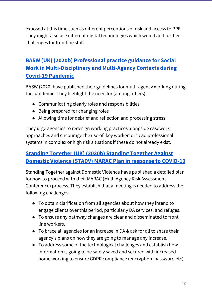exposed at this time such as different perceptions of risk and access to PPE. They might also use different digital technologies which would add further challenges for frontline staff.

## **BASW (UK) (2020b) [Professional](https://www.basw.co.uk/social-work-multi-disciplinary-and-multi-agency-contexts-during-covid-19) practice guidance for Social Work in [Multi-Disciplinary](https://www.basw.co.uk/social-work-multi-disciplinary-and-multi-agency-contexts-during-covid-19) and Multi-Agency Contexts during Covid-19 [Pandemic](https://www.basw.co.uk/social-work-multi-disciplinary-and-multi-agency-contexts-during-covid-19)**

BASW (2020) have published their guidelines for multi-agency working during the pandemic. They highlight the need for (among others):

- Communicating clearly roles and responsibilities
- Being prepared for changing roles
- Allowing time for debrief and reflection and processing stress

They urge agencies to redesign working practices alongside casework approaches and encourage the use of 'key worker' or 'lead professional' systems in complex or high risk situations if these do not already exist.

## **Standing Together (UK) (2020b) Standing [Together](http://www.standingtogether.org.uk/sites/default/files/docs/STADV_VirtualMARACPlan_ResponseToCOVID19_0.pdf) Against Domestic Violence (STADV) MARAC Plan in response to [COVID-19](http://www.standingtogether.org.uk/sites/default/files/docs/STADV_VirtualMARACPlan_ResponseToCOVID19_0.pdf)**

Standing Together against Domestic Violence have published a detailed plan for how to proceed with their MARAC (Multi Agency Risk Assessment Conference) process. They establish that a meeting is needed to address the following challenges:

- To obtain clarification from all agencies about how they intend to engage clients over this period, particularly DA services, and refuges.
- To ensure any pathway changes are clear and disseminated to front line workers.
- To brace all agencies for an increase in DA & ask for all to share their agency's plans on how they are going to manage any increase.
- To address some of the technological challenges and establish how information is going to be safely saved and secured with increased home working to ensure GDPR compliance (encryption, password etc).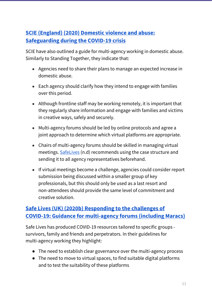## **SCIE [\(England\)](https://www.scie.org.uk/care-providers/coronavirus-covid-19/safeguarding/domestic-violence-abuse#multi-agency) (2020) Domestic violence and abuse: [Safeguarding](https://www.scie.org.uk/care-providers/coronavirus-covid-19/safeguarding/domestic-violence-abuse#multi-agency) during the COVID-19 crisis**

SCIE have also outlined a guide for multi-agency working in domestic abuse. Similarly to Standing Together, they indicate that:

- Agencies need to share their plans to manage an expected increase in domestic abuse.
- Each agency should clarify how they intend to engage with families over this period.
- Although frontline staff may be working remotely, it is important that they regularly share information and engage with families and victims in creative ways, safely and securely.
- Multi-agency forums should be led by online protocols and agree a joint approach to determine which virtual platforms are appropriate.
- Chairs of multi-agency forums should be skilled in managing virtual meetings. [SafeLives](https://safelives.org.uk/sites/default/files/resources/Effective%20chairing%20at%20Marac.pdf) (n.d) recommends using the case structure and sending it to all agency representatives beforehand.
- If virtual meetings become a challenge, agencies could consider report submission being discussed within a smaller group of key professionals, but this should only be used as a last resort and non-attendees should provide the same level of commitment and creative solution.

### **Safe Lives (UK) (2020b) [Responding](https://safelives.org.uk/sites/default/files/resources/Marac%20guidance%20-%20COVID%2019.pdf) to the challenges of COVID-19: Guidance for [multi-agency](https://safelives.org.uk/sites/default/files/resources/Marac%20guidance%20-%20COVID%2019.pdf) forums (including Maracs)**

Safe Lives has produced COVID-19 resources tailored to specific groups survivors, family and friends and perpetrators. In their guidelines for multi-agency working they highlight:

- The need to establish clear governance over the multi-agency process
- The need to move to virtual spaces, to find suitable digital platforms and to test the suitability of these platforms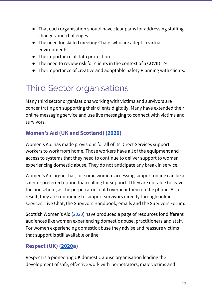- That each organisation should have clear plans for addressing staffing changes and challenges
- The need for skilled meeting Chairs who are adept in virtual environments
- The importance of data protection
- The need to review risk for clients in the context of a COVID-19
- The importance of creative and adaptable Safety Planning with clients.

# Third Sector organisations

Many third sector organisations working with victims and survivors are concentrating on supporting their clients digitally. Many have extended their online messaging service and use live messaging to connect with victims and survivors.

## **Women's Aid (UK and Scotland) ([2020](https://www.womensaid.org.uk/the-impact-of-covid-19-on-women-and-children-experiencing-domestic-abuse-and-the-life-saving-services-that-support-them/))**

Women's Aid has made provisions for all of its Direct Services support workers to work from home. Those workers have all of the equipment and access to systems that they need to continue to deliver support to women experiencing domestic abuse. They do not anticipate any break in service.

Women's Aid argue that, for some women, accessing support online can be a safer or preferred option than calling for support if they are not able to leave the household, as the perpetrator could overhear them on the phone. As a result, they are continuing to support survivors directly through online services: Live [Chat,](https://chat.womensaid.org.uk/) the Survivors [Handbook,](https://www.womensaid.org.uk/the-survivors-handbook/) [emails](https://www.womensaid.org.uk/the-impact-of-covid-19-on-women-and-children-experiencing-domestic-abuse-and-the-life-saving-services-that-support-them/helpline@womensaid.org.uk) and the [Survivors](https://survivorsforum.womensaid.org.uk/) Forum.

Scottish Women's Aid ([2020](https://womensaid.scot/covid-19/)) have produced a page of resources for different audiences like women experiencing domestic abuse, practitioners and staff. For women experiencing domestic abuse they advise and reassure victims that support is still available online.

# **Respect (UK) ([2020a](https://hubble-live-assets.s3.amazonaws.com/respect/redactor2_assets/files/142/Impact_of_COVID19_on_DA_Perpetrator_Services_update_01.05.20.pdf))**

Respect is a pioneering UK domestic abuse organisation leading the development of safe, effective work with perpetrators, male victims and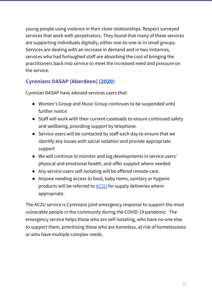young people using violence in their close relationships. Respect surveyed services that work with perpetrators. They found that many of these services are supporting individuals digitally, either one-to-one or in small groups. Services are dealing with an increase in demand and in two instances, services who had furloughed staff are absorbing the cost of bringing the practitioners back into service to meet the increased need and pressure on the service.

### **Cyrenians DASAP (Aberdeen) ([2020\)](https://www.aberdeen-cyrenians.org/about/covid-19-preparedness)**

Cyrenian DASAP have advised services users that:

- Women's Group and Music Group continues to be suspended until further notice
- Staff will work with their current caseloads to ensure continued safety and wellbeing, providing support by telephone.
- Service users will be contacted by staff each day to ensure that we identify any issues with social isolation and provide appropriate support
- We will continue to monitor and log developments in service users' physical and emotional health, and offer support where needed
- Any service users self-isolating will be offered remote care.
- Anyone needing access to food, baby items, sanitary or hygiene products will be referred to **[AC2U](http://www.ac2u.org/)** for supply deliveries where appropriate.

The AC2U service is Cyrenians joint emergency response to support the most vulnerable people in the community during the COVID-19 pandemic. The emergency service helps those who are self-isolating, who have no-one else to support them, prioritising those who are homeless, at risk of homelessness or who have multiple complex needs.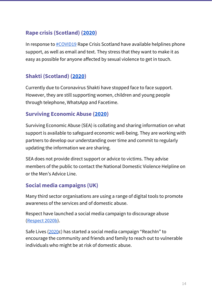#### **Rape crisis (Scotland) [\(2020](https://www.rapecrisisscotland.org.uk/news/news/statement-on-covid-19--coronavirus-and-rape-crisis-services-/))**

In response to [#COVID19](https://twitter.com/hashtag/COVID19?src=hashtag_click) Rape Crisis Scotland have available helplines phone support, as well as email and text. They stress that they want to make it as easy as possible for anyone affected by sexual violence to get in touch.

#### **Shakti (Scotland) [\(2020](https://shaktiedinburgh.co.uk/))**

Currently due to Coronavirus Shakti have stopped face to face support. However, they are still supporting women, children and young people through telephone, WhatsApp and Facetime.

#### **Surviving Economic Abuse [\(2020](https://survivingeconomicabuse.org/))**

Surviving Economic Abuse (SEA) is collating and sharing information on what support is available to safeguard economic well-being. They are working with partners to develop our understanding over time and commit to regularly updating the information we are sharing.

SEA does not provide direct support or advice to victims. They advise members of the public to contact the National Domestic Violence Helpline on or the Men's Advice Line.

#### **Social media campaigns (UK)**

Many third sector organisations are using a range of digital tools to promote awareness of the services and of domestic abuse.

Respect have launched a social media campaign to discourage abuse ([Respect](https://www.respect.uk.net/posts/11-581-more-website-visitors-due-to-respect-phoneline-covid-19-campaign) 2020b).

Safe Lives [\(2020c](https://safelives.org.uk/reach-in)) has started a social media campaign "ReachIn" to encourage the community and friends and family to reach out to vulnerable individuals who might be at risk of domestic abuse.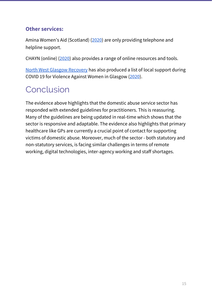#### **Other services:**

Amina Women's Aid (Scotland) ([2020\)](https://mwrc.org.uk/coronavirus-covid-19-service-update/) are only providing telephone and helpline support.

CHAYN (online) [\(2020\)](https://chayn.co/) also provides a range of online resources and tools.

North West Glasgow [Recovery](https://www.nwrc-glasgow.co.uk/) has also produced a list of local support during COVID 19 for Violence Against Women in Glasgow ([2020\)](https://www.nwrc-glasgow.co.uk/wp-content/uploads/2020/04/VAW-Services-COVID-19-Glasgow.pdf).

# Conclusion

The evidence above highlights that the domestic abuse service sector has responded with extended guidelines for practitioners. This is reassuring. Many of the guidelines are being updated in real-time which shows that the sector is responsive and adaptable. The evidence also highlights that primary healthcare like GPs are currently a crucial point of contact for supporting victims of domestic abuse. Moreover, much of the sector - both statutory and non-statutory services, is facing similar challenges in terms of remote working, digital technologies, inter-agency working and staff shortages.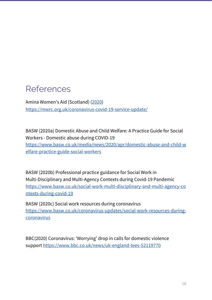# References

Amina Women's Aid (Scotland) ([2020\)](https://mwrc.org.uk/coronavirus-covid-19-service-update/) <https://mwrc.org.uk/coronavirus-covid-19-service-update/>

BASW (2020a) Domestic Abuse and Child Welfare: A Practice Guide for Social Workers - Domestic abuse during COVID-19 [https://www.basw.co.uk/media/news/2020/apr/domestic-abuse-and-child-w](https://www.basw.co.uk/media/news/2020/apr/domestic-abuse-and-child-welfare-practice-guide-social-workers) [elfare-practice-guide-social-workers](https://www.basw.co.uk/media/news/2020/apr/domestic-abuse-and-child-welfare-practice-guide-social-workers)

BASW (2020b) Professional practice guidance for Social Work in Multi-Disciplinary and Multi-Agency Contexts during Covid-19 Pandemic [https://www.basw.co.uk/social-work-multi-disciplinary-and-multi-agency-co](https://www.basw.co.uk/social-work-multi-disciplinary-and-multi-agency-contexts-during-covid-19) [ntexts-during-covid-19](https://www.basw.co.uk/social-work-multi-disciplinary-and-multi-agency-contexts-during-covid-19)

BASW (2020c) Social work resources during coronavirus [https://www.basw.co.uk/coronavirus-updates/social-work-resources-during](https://www.basw.co.uk/coronavirus-updates/social-work-resources-during-coronavirus)[coronavirus](https://www.basw.co.uk/coronavirus-updates/social-work-resources-during-coronavirus)

BBC(2020) Coronavirus: 'Worrying' drop in calls for domestic violence support <https://www.bbc.co.uk/news/uk-england-tees-52119770>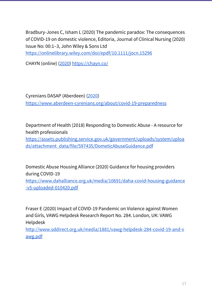Bradbury-Jones C, Isham L (2020) The pandemic paradox: The consequences of COVID-19 on domestic violence, Editoria, Journal of Clinical Nursing (2020) Issue No: 00:1–3, John Wiley & Sons Ltd <https://onlinelibrary.wiley.com/doi/epdf/10.1111/jocn.15296>

CHAYN (online) [\(2020\)](https://chayn.co/) <https://chayn.co/>

Cyrenians DASAP (Aberdeen) ([2020\)](https://www.aberdeen-cyrenians.org/about/covid-19-preparedness) <https://www.aberdeen-cyrenians.org/about/covid-19-preparedness>

Department of Health (2018) Responding to Domestic Abuse - A resource for health professionals

[https://assets.publishing.service.gov.uk/government/uploads/system/uploa](https://assets.publishing.service.gov.uk/government/uploads/system/uploads/attachment_data/file/597435/DometicAbuseGuidance.pdf) [ds/attachment\\_data/file/597435/DometicAbuseGuidance.pdf](https://assets.publishing.service.gov.uk/government/uploads/system/uploads/attachment_data/file/597435/DometicAbuseGuidance.pdf)

Domestic Abuse Housing Alliance (2020) Guidance for housing providers during COVID-19 [https://www.dahalliance.org.uk/media/10691/daha-covid-housing-guidance](https://www.dahalliance.org.uk/media/10691/daha-covid-housing-guidance-v5-uploaded-010420.pdf) [-v5-uploaded-010420.pdf](https://www.dahalliance.org.uk/media/10691/daha-covid-housing-guidance-v5-uploaded-010420.pdf)

Fraser E (2020) Impact of COVID-19 Pandemic on Violence against Women and Girls, VAWG Helpdesk Research Report No. 284. London, UK: VAWG Helpdesk

[http://www.sddirect.org.uk/media/1881/vawg-helpdesk-284-covid-19-and-v](http://www.sddirect.org.uk/media/1881/vawg-helpdesk-284-covid-19-and-vawg.pdf) [awg.pdf](http://www.sddirect.org.uk/media/1881/vawg-helpdesk-284-covid-19-and-vawg.pdf)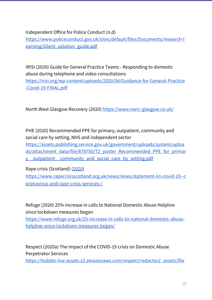Independent Office for Police Conduct (n.d)

[https://www.policeconduct.gov.uk/sites/default/files/Documents/research-l](https://www.policeconduct.gov.uk/sites/default/files/Documents/research-learning/Silent_solution_guide.pdf) earning/Silent solution guide.pdf

IRISi (2020) Guide for General Practice Teams - Responding to domestic abuse during telephone and video consultations

[https://irisi.org/wp-content/uploads/2020/04/Guidance-for-General-Practice](https://irisi.org/wp-content/uploads/2020/04/Guidance-for-General-Practice-Covid-19-FINAL.pdf) [-Covid-19-FINAL.pdf](https://irisi.org/wp-content/uploads/2020/04/Guidance-for-General-Practice-Covid-19-FINAL.pdf)

North West Glasgow Recovery (2020) <https://www.nwrc-glasgow.co.uk/>

PHE (2020) Recommended PPE for primary, outpatient, community and social care by setting, NHS and independent sector [https://assets.publishing.service.gov.uk/government/uploads/system/uploa](https://assets.publishing.service.gov.uk/government/uploads/system/uploads/attachment_data/file/878750/T2_poster_Recommended_PPE_for_primary__outpatient__community_and_social_care_by_setting.pdf) [ds/attachment\\_data/file/878750/T2\\_poster\\_Recommended\\_PPE\\_for\\_primar](https://assets.publishing.service.gov.uk/government/uploads/system/uploads/attachment_data/file/878750/T2_poster_Recommended_PPE_for_primary__outpatient__community_and_social_care_by_setting.pdf) [y\\_\\_outpatient\\_\\_community\\_and\\_social\\_care\\_by\\_setting.pdf](https://assets.publishing.service.gov.uk/government/uploads/system/uploads/attachment_data/file/878750/T2_poster_Recommended_PPE_for_primary__outpatient__community_and_social_care_by_setting.pdf)

Rape crisis (Scotland) [\(2020\)](https://www.rapecrisisscotland.org.uk/news/news/statement-on-covid-19--coronavirus-and-rape-crisis-services-/) [https://www.rapecrisisscotland.org.uk/news/news/statement-on-covid-19--c](https://www.rapecrisisscotland.org.uk/news/news/statement-on-covid-19--coronavirus-and-rape-crisis-services-/) [oronavirus-and-rape-crisis-services-/](https://www.rapecrisisscotland.org.uk/news/news/statement-on-covid-19--coronavirus-and-rape-crisis-services-/)

Refuge (2020) 25% increase in calls to National Domestic Abuse Helpline since lockdown measures began

[https://www.refuge.org.uk/25-increase-in-calls-to-national-domestic-abuse](https://www.refuge.org.uk/25-increase-in-calls-to-national-domestic-abuse-helpline-since-lockdown-measures-began/)[helpline-since-lockdown-measures-began/](https://www.refuge.org.uk/25-increase-in-calls-to-national-domestic-abuse-helpline-since-lockdown-measures-began/)

Respect (2020a) The Impact of the COVID-19 crisis on Domestic Abuse Perpetrator Services

[https://hubble-live-assets.s3.amazonaws.com/respect/redactor2\\_assets/file](https://hubble-live-assets.s3.amazonaws.com/respect/redactor2_assets/files/142/Impact_of_COVID19_on_DA_Perpetrator_Services_update_01.05.20.pdf)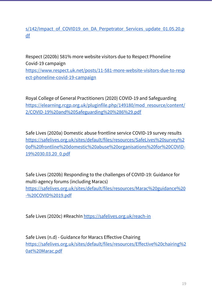#### s/142/Impact of COVID19 on DA Perpetrator Services update 01.05.20.p [df](https://hubble-live-assets.s3.amazonaws.com/respect/redactor2_assets/files/142/Impact_of_COVID19_on_DA_Perpetrator_Services_update_01.05.20.pdf)

Respect (2020b) 581% more website visitors due to Respect Phoneline Covid-19 campaign [https://www.respect.uk.net/posts/11-581-more-website-visitors-due-to-resp](https://www.respect.uk.net/posts/11-581-more-website-visitors-due-to-respect-phoneline-covid-19-campaign) [ect-phoneline-covid-19-campaign](https://www.respect.uk.net/posts/11-581-more-website-visitors-due-to-respect-phoneline-covid-19-campaign)

Royal College of General Practitioners (2020) COVID-19 and Safeguarding [https://elearning.rcgp.org.uk/pluginfile.php/149180/mod\\_resource/content/](https://elearning.rcgp.org.uk/pluginfile.php/149180/mod_resource/content/2/COVID-19%20and%20Safeguarding%20%286%29.pdf) [2/COVID-19%20and%20Safeguarding%20%286%29.pdf](https://elearning.rcgp.org.uk/pluginfile.php/149180/mod_resource/content/2/COVID-19%20and%20Safeguarding%20%286%29.pdf)

Safe Lives (2020a) Domestic abuse frontline service COVID-19 survey results [https://safelives.org.uk/sites/default/files/resources/SafeLives%20survey%2](https://safelives.org.uk/sites/default/files/resources/SafeLives%20survey%20of%20frontline%20domestic%20abuse%20organisations%20for%20COVID-19%2030.03.20_0.pdf) [0of%20frontline%20domestic%20abuse%20organisations%20for%20COVID-](https://safelives.org.uk/sites/default/files/resources/SafeLives%20survey%20of%20frontline%20domestic%20abuse%20organisations%20for%20COVID-19%2030.03.20_0.pdf)[19%2030.03.20\\_0.pdf](https://safelives.org.uk/sites/default/files/resources/SafeLives%20survey%20of%20frontline%20domestic%20abuse%20organisations%20for%20COVID-19%2030.03.20_0.pdf)

Safe Lives (2020b) Responding to the challenges of COVID-19: Guidance for multi-agency forums (including Maracs) [https://safelives.org.uk/sites/default/files/resources/Marac%20guidance%20](https://safelives.org.uk/sites/default/files/resources/Marac%20guidance%20-%20COVID%2019.pdf) [-%20COVID%2019.pdf](https://safelives.org.uk/sites/default/files/resources/Marac%20guidance%20-%20COVID%2019.pdf)

Safe Lives (2020c) #ReachIn <https://safelives.org.uk/reach-in>

Safe Lives (n.d) - Guidance for Maracs Effective Chairing [https://safelives.org.uk/sites/default/files/resources/Effective%20chairing%2](https://safelives.org.uk/sites/default/files/resources/Effective%20chairing%20at%20Marac.pdf) [0at%20Marac.pdf](https://safelives.org.uk/sites/default/files/resources/Effective%20chairing%20at%20Marac.pdf)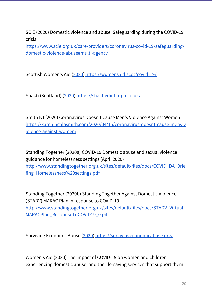SCIE (2020) Domestic violence and abuse: Safeguarding during the COVID-19 crisis

[https://www.scie.org.uk/care-providers/coronavirus-covid-19/safeguarding/](https://www.scie.org.uk/care-providers/coronavirus-covid-19/safeguarding/domestic-violence-abuse#multi-agency) [domestic-violence-abuse#multi-agency](https://www.scie.org.uk/care-providers/coronavirus-covid-19/safeguarding/domestic-violence-abuse#multi-agency)

Scottish Women's Aid ([2020](https://womensaid.scot/covid-19/)) <https://womensaid.scot/covid-19/>

Shakti (Scotland) ([2020\)](https://shaktiedinburgh.co.uk/) <https://shaktiedinburgh.co.uk/>

Smith K I (2020) Coronavirus Doesn't Cause Men's Violence Against Women [https://kareningalasmith.com/2020/04/15/coronavirus-doesnt-cause-mens-v](https://kareningalasmith.com/2020/04/15/coronavirus-doesnt-cause-mens-violence-against-women/) [iolence-against-women/](https://kareningalasmith.com/2020/04/15/coronavirus-doesnt-cause-mens-violence-against-women/)

Standing Together (2020a) COVID-19 Domestic abuse and sexual violence guidance for homelessness settings (April 2020) [http://www.standingtogether.org.uk/sites/default/files/docs/COVID\\_DA\\_Brie](http://www.standingtogether.org.uk/sites/default/files/docs/COVID_DA_Briefing_Homelessness%20settings.pdf) [fing\\_Homelessness%20settings.pdf](http://www.standingtogether.org.uk/sites/default/files/docs/COVID_DA_Briefing_Homelessness%20settings.pdf)

Standing Together (2020b) Standing Together Against Domestic Violence (STADV) MARAC Plan in response to COVID-19 [http://www.standingtogether.org.uk/sites/default/files/docs/STADV\\_Virtual](http://www.standingtogether.org.uk/sites/default/files/docs/STADV_VirtualMARACPlan_ResponseToCOVID19_0.pdf) [MARACPlan\\_ResponseToCOVID19\\_0.pdf](http://www.standingtogether.org.uk/sites/default/files/docs/STADV_VirtualMARACPlan_ResponseToCOVID19_0.pdf)

Surviving Economic Abuse [\(2020](https://survivingeconomicabuse.org/)) <https://survivingeconomicabuse.org/>

Women's Aid (2020) The impact of COVID-19 on women and children experiencing domestic abuse, and the life-saving services that support them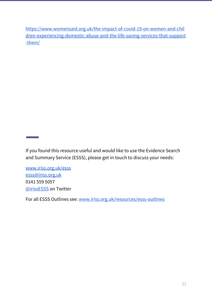[https://www.womensaid.org.uk/the-impact-of-covid-19-on-women-and-chil](https://www.womensaid.org.uk/the-impact-of-covid-19-on-women-and-children-experiencing-domestic-abuse-and-the-life-saving-services-that-support-them/) [dren-experiencing-domestic-abuse-and-the-life-saving-services-that-support](https://www.womensaid.org.uk/the-impact-of-covid-19-on-women-and-children-experiencing-domestic-abuse-and-the-life-saving-services-that-support-them/) [-them/](https://www.womensaid.org.uk/the-impact-of-covid-19-on-women-and-children-experiencing-domestic-abuse-and-the-life-saving-services-that-support-them/)

If you found this resource useful and would like to use the Evidence Search and Summary Service (ESSS), please get in touch to discuss your needs:

[www.iriss.org.uk/esss](http://www.iriss.org.uk/esss) [esss@iriss.org.uk](mailto:esss@iriss.org.uk) 0141 559 5057 [@irissESSS](https://twitter.com/irissesss) on Twitter

For all ESSS Outlines see: [www.iriss.org.uk/resources/esss-outlines](http://www.iriss.org.uk/resources/outlines)